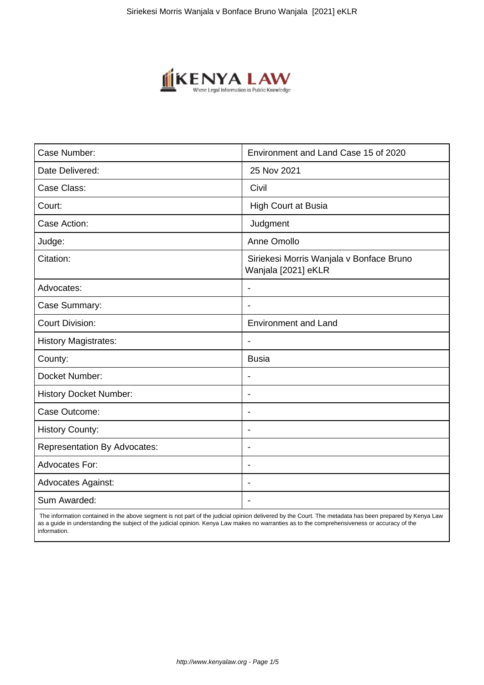

| Case Number:                        | Environment and Land Case 15 of 2020                            |
|-------------------------------------|-----------------------------------------------------------------|
| Date Delivered:                     | 25 Nov 2021                                                     |
| Case Class:                         | Civil                                                           |
| Court:                              | <b>High Court at Busia</b>                                      |
| Case Action:                        | Judgment                                                        |
| Judge:                              | Anne Omollo                                                     |
| Citation:                           | Siriekesi Morris Wanjala v Bonface Bruno<br>Wanjala [2021] eKLR |
| Advocates:                          |                                                                 |
| Case Summary:                       |                                                                 |
| <b>Court Division:</b>              | <b>Environment and Land</b>                                     |
| <b>History Magistrates:</b>         | $\blacksquare$                                                  |
| County:                             | <b>Busia</b>                                                    |
| Docket Number:                      |                                                                 |
| <b>History Docket Number:</b>       | $\overline{\phantom{a}}$                                        |
| Case Outcome:                       |                                                                 |
| <b>History County:</b>              | $\overline{\phantom{a}}$                                        |
| <b>Representation By Advocates:</b> | $\blacksquare$                                                  |
| <b>Advocates For:</b>               | $\blacksquare$                                                  |
| <b>Advocates Against:</b>           | $\blacksquare$                                                  |
| Sum Awarded:                        |                                                                 |

 The information contained in the above segment is not part of the judicial opinion delivered by the Court. The metadata has been prepared by Kenya Law as a guide in understanding the subject of the judicial opinion. Kenya Law makes no warranties as to the comprehensiveness or accuracy of the information.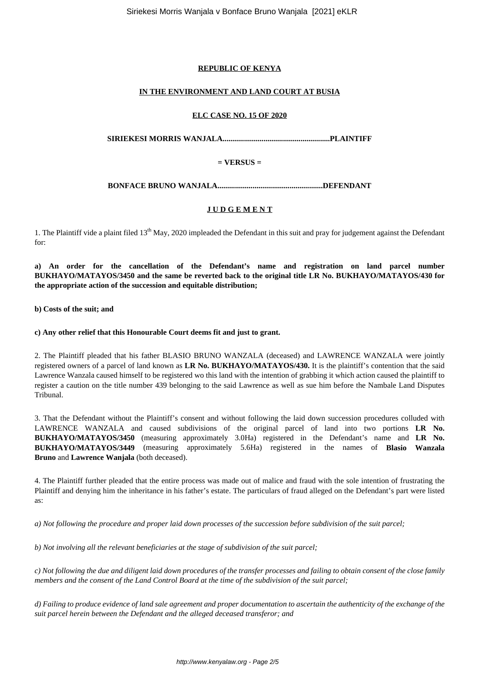# **REPUBLIC OF KENYA**

# **IN THE ENVIRONMENT AND LAND COURT AT BUSIA**

#### **ELC CASE NO. 15 OF 2020**

**SIRIEKESI MORRIS WANJALA.......................................................PLAINTIFF**

## **= VERSUS =**

**BONFACE BRUNO WANJALA......................................................DEFENDANT**

# **J U D G E M E N T**

1. The Plaintiff vide a plaint filed 13<sup>th</sup> May, 2020 impleaded the Defendant in this suit and pray for judgement against the Defendant for:

**a) An order for the cancellation of the Defendant's name and registration on land parcel number BUKHAYO/MATAYOS/3450 and the same be reverted back to the original title LR No. BUKHAYO/MATAYOS/430 for the appropriate action of the succession and equitable distribution;**

**b) Costs of the suit; and**

**c) Any other relief that this Honourable Court deems fit and just to grant.**

2. The Plaintiff pleaded that his father BLASIO BRUNO WANZALA (deceased) and LAWRENCE WANZALA were jointly registered owners of a parcel of land known as **LR No. BUKHAYO/MATAYOS/430.** It is the plaintiff's contention that the said Lawrence Wanzala caused himself to be registered wo this land with the intention of grabbing it which action caused the plaintiff to register a caution on the title number 439 belonging to the said Lawrence as well as sue him before the Nambale Land Disputes Tribunal.

3. That the Defendant without the Plaintiff's consent and without following the laid down succession procedures colluded with LAWRENCE WANZALA and caused subdivisions of the original parcel of land into two portions **LR No. BUKHAYO/MATAYOS/3450** (measuring approximately 3.0Ha) registered in the Defendant's name and **LR No. BUKHAYO/MATAYOS/3449** (measuring approximately 5.6Ha) registered in the names of **Blasio Wanzala Bruno** and **Lawrence Wanjala** (both deceased).

4. The Plaintiff further pleaded that the entire process was made out of malice and fraud with the sole intention of frustrating the Plaintiff and denying him the inheritance in his father's estate. The particulars of fraud alleged on the Defendant's part were listed as:

*a) Not following the procedure and proper laid down processes of the succession before subdivision of the suit parcel;*

*b) Not involving all the relevant beneficiaries at the stage of subdivision of the suit parcel;*

*c) Not following the due and diligent laid down procedures of the transfer processes and failing to obtain consent of the close family members and the consent of the Land Control Board at the time of the subdivision of the suit parcel;*

*d) Failing to produce evidence of land sale agreement and proper documentation to ascertain the authenticity of the exchange of the suit parcel herein between the Defendant and the alleged deceased transferor; and*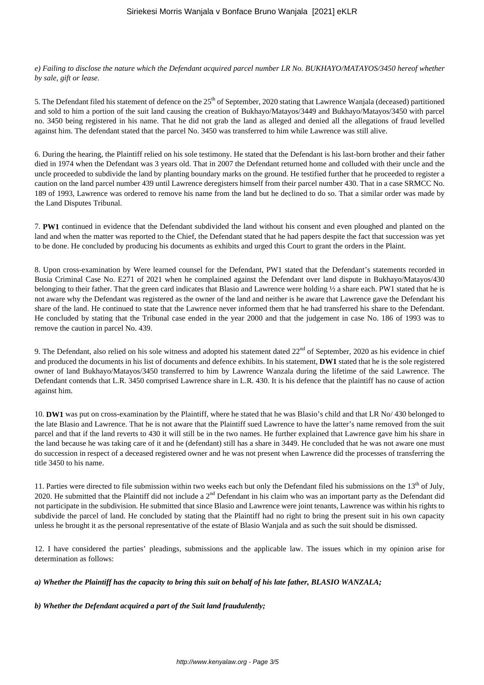*e) Failing to disclose the nature which the Defendant acquired parcel number LR No. BUKHAYO/MATAYOS/3450 hereof whether by sale, gift or lease.*

5. The Defendant filed his statement of defence on the 25<sup>th</sup> of September, 2020 stating that Lawrence Wanjala (deceased) partitioned and sold to him a portion of the suit land causing the creation of Bukhayo/Matayos/3449 and Bukhayo/Matayos/3450 with parcel no. 3450 being registered in his name. That he did not grab the land as alleged and denied all the allegations of fraud levelled against him. The defendant stated that the parcel No. 3450 was transferred to him while Lawrence was still alive.

6. During the hearing, the Plaintiff relied on his sole testimony. He stated that the Defendant is his last-born brother and their father died in 1974 when the Defendant was 3 years old. That in 2007 the Defendant returned home and colluded with their uncle and the uncle proceeded to subdivide the land by planting boundary marks on the ground. He testified further that he proceeded to register a caution on the land parcel number 439 until Lawrence deregisters himself from their parcel number 430. That in a case SRMCC No. 189 of 1993, Lawrence was ordered to remove his name from the land but he declined to do so. That a similar order was made by the Land Disputes Tribunal.

7. **PW1** continued in evidence that the Defendant subdivided the land without his consent and even ploughed and planted on the land and when the matter was reported to the Chief, the Defendant stated that he had papers despite the fact that succession was yet to be done. He concluded by producing his documents as exhibits and urged this Court to grant the orders in the Plaint.

8. Upon cross-examination by Were learned counsel for the Defendant, PW1 stated that the Defendant's statements recorded in Busia Criminal Case No. E271 of 2021 when he complained against the Defendant over land dispute in Bukhayo/Matayos/430 belonging to their father. That the green card indicates that Blasio and Lawrence were holding ½ a share each. PW1 stated that he is not aware why the Defendant was registered as the owner of the land and neither is he aware that Lawrence gave the Defendant his share of the land. He continued to state that the Lawrence never informed them that he had transferred his share to the Defendant. He concluded by stating that the Tribunal case ended in the year 2000 and that the judgement in case No. 186 of 1993 was to remove the caution in parcel No. 439.

9. The Defendant, also relied on his sole witness and adopted his statement dated  $22<sup>nd</sup>$  of September, 2020 as his evidence in chief and produced the documents in his list of documents and defence exhibits. In his statement, **DW1** stated that he is the sole registered owner of land Bukhayo/Matayos/3450 transferred to him by Lawrence Wanzala during the lifetime of the said Lawrence. The Defendant contends that L.R. 3450 comprised Lawrence share in L.R. 430. It is his defence that the plaintiff has no cause of action against him.

10. **DW1** was put on cross-examination by the Plaintiff, where he stated that he was Blasio's child and that LR No/ 430 belonged to the late Blasio and Lawrence. That he is not aware that the Plaintiff sued Lawrence to have the latter's name removed from the suit parcel and that if the land reverts to 430 it will still be in the two names. He further explained that Lawrence gave him his share in the land because he was taking care of it and he (defendant) still has a share in 3449. He concluded that he was not aware one must do succession in respect of a deceased registered owner and he was not present when Lawrence did the processes of transferring the title 3450 to his name.

11. Parties were directed to file submission within two weeks each but only the Defendant filed his submissions on the  $13<sup>th</sup>$  of July, 2020. He submitted that the Plaintiff did not include a  $2<sup>nd</sup>$  Defendant in his claim who was an important party as the Defendant did not participate in the subdivision. He submitted that since Blasio and Lawrence were joint tenants, Lawrence was within his rights to subdivide the parcel of land. He concluded by stating that the Plaintiff had no right to bring the present suit in his own capacity unless he brought it as the personal representative of the estate of Blasio Wanjala and as such the suit should be dismissed.

12. I have considered the parties' pleadings, submissions and the applicable law. The issues which in my opinion arise for determination as follows:

*a) Whether the Plaintiff has the capacity to bring this suit on behalf of his late father, BLASIO WANZALA;*

*b) Whether the Defendant acquired a part of the Suit land fraudulently;*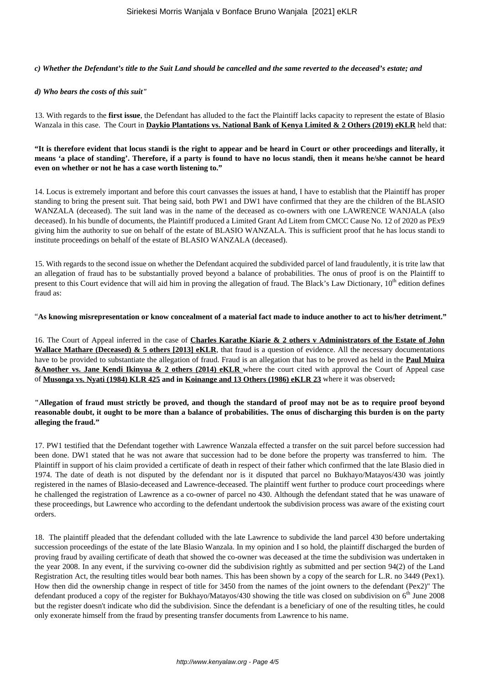#### *c) Whether the Defendant's title to the Suit Land should be cancelled and the same reverted to the deceased's estate; and*

#### *d) Who bears the costs of this suit"*

13. With regards to the **first issue**, the Defendant has alluded to the fact the Plaintiff lacks capacity to represent the estate of Blasio Wanzala in this case. The Court in **Daykio Plantations vs. National Bank of Kenya Limited & 2 Others (2019) eKLR** held that:

**"It is therefore evident that locus standi is the right to appear and be heard in Court or other proceedings and literally, it means 'a place of standing'. Therefore, if a party is found to have no locus standi, then it means he/she cannot be heard even on whether or not he has a case worth listening to."** 

14. Locus is extremely important and before this court canvasses the issues at hand, I have to establish that the Plaintiff has proper standing to bring the present suit. That being said, both PW1 and DW1 have confirmed that they are the children of the BLASIO WANZALA (deceased). The suit land was in the name of the deceased as co-owners with one LAWRENCE WANJALA (also deceased). In his bundle of documents, the Plaintiff produced a Limited Grant Ad Litem from CMCC Cause No. 12 of 2020 as PEx9 giving him the authority to sue on behalf of the estate of BLASIO WANZALA. This is sufficient proof that he has locus standi to institute proceedings on behalf of the estate of BLASIO WANZALA (deceased).

15. With regards to the second issue on whether the Defendant acquired the subdivided parcel of land fraudulently, it is trite law that an allegation of fraud has to be substantially proved beyond a balance of probabilities. The onus of proof is on the Plaintiff to present to this Court evidence that will aid him in proving the allegation of fraud. The Black's Law Dictionary,  $10<sup>th</sup>$  edition defines fraud as:

#### "**As knowing misrepresentation or know concealment of a material fact made to induce another to act to his/her detriment."**

16. The Court of Appeal inferred in the case of **Charles Karathe Kiarie & 2 others v Administrators of the Estate of John Wallace Mathare (Deceased) & 5 others [2013] eKLR**, that fraud is a question of evidence. All the necessary documentations have to be provided to substantiate the allegation of fraud. Fraud is an allegation that has to be proved as held in the **Paul Muira &Another vs. Jane Kendi Ikinyua & 2 others (2014) eKLR** where the court cited with approval the Court of Appeal case of **Musonga vs. Nyati (1984) KLR 425 and in Koinange and 13 Others (1986) eKLR 23** where it was observed**:**

#### **"Allegation of fraud must strictly be proved, and though the standard of proof may not be as to require proof beyond reasonable doubt, it ought to be more than a balance of probabilities. The onus of discharging this burden is on the party alleging the fraud."**

17. PW1 testified that the Defendant together with Lawrence Wanzala effected a transfer on the suit parcel before succession had been done. DW1 stated that he was not aware that succession had to be done before the property was transferred to him. The Plaintiff in support of his claim provided a certificate of death in respect of their father which confirmed that the late Blasio died in 1974. The date of death is not disputed by the defendant nor is it disputed that parcel no Bukhayo/Matayos/430 was jointly registered in the names of Blasio-deceased and Lawrence-deceased. The plaintiff went further to produce court proceedings where he challenged the registration of Lawrence as a co-owner of parcel no 430. Although the defendant stated that he was unaware of these proceedings, but Lawrence who according to the defendant undertook the subdivision process was aware of the existing court orders.

18. The plaintiff pleaded that the defendant colluded with the late Lawrence to subdivide the land parcel 430 before undertaking succession proceedings of the estate of the late Blasio Wanzala. In my opinion and I so hold, the plaintiff discharged the burden of proving fraud by availing certificate of death that showed the co-owner was deceased at the time the subdivision was undertaken in the year 2008. In any event, if the surviving co-owner did the subdivision rightly as submitted and per section 94(2) of the Land Registration Act, the resulting titles would bear both names. This has been shown by a copy of the search for L.R. no 3449 (Pex1). How then did the ownership change in respect of title for 3450 from the names of the joint owners to the defendant (Pex2)" The defendant produced a copy of the register for Bukhayo/Matayos/430 showing the title was closed on subdivision on  $6<sup>th</sup>$  June 2008 but the register doesn't indicate who did the subdivision. Since the defendant is a beneficiary of one of the resulting titles, he could only exonerate himself from the fraud by presenting transfer documents from Lawrence to his name.